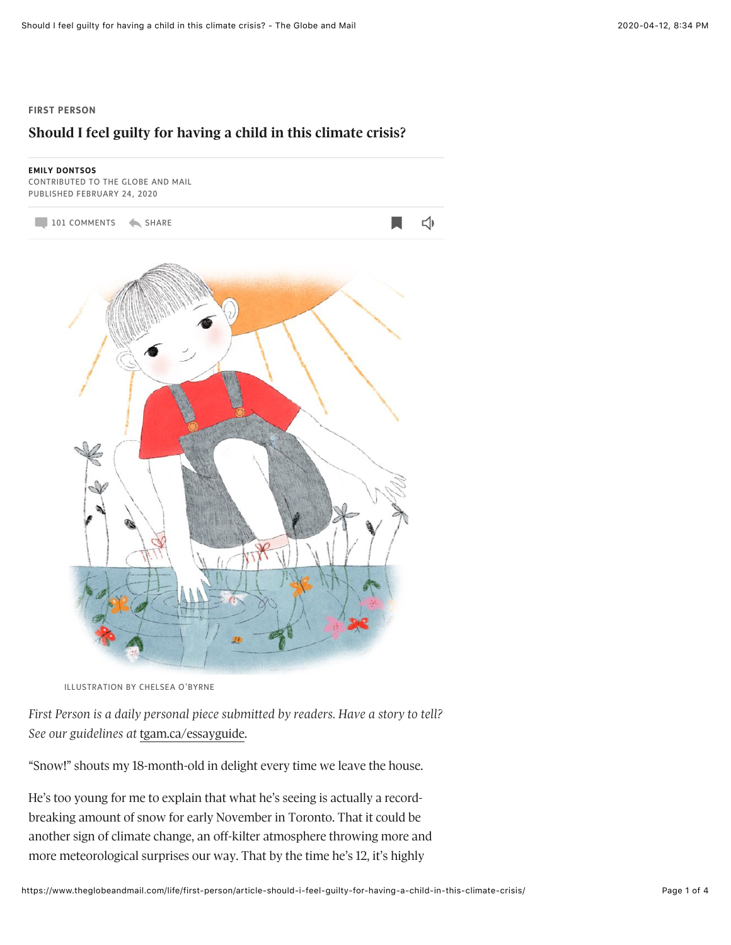## **FIRST PERSON**

## **Should I feel guilty for having a child in this climate crisis?**



ILLUSTRATION BY CHELSEA O'BYRNE

First Person is a daily personal piece submitted by readers. Have a story to tell? *See our guidelines at* [tgam.ca/essayguide.](http://tgam.ca/essayguide)

"Snow!" shouts my 18-month-old in delight every time we leave the house.

He's too young for me to explain that what he's seeing is actually a recordbreaking amount of snow for early November in Toronto. That it could be another sign of climate change, an off-kilter atmosphere throwing more and more meteorological surprises our way. That by the time he's 12, it's highly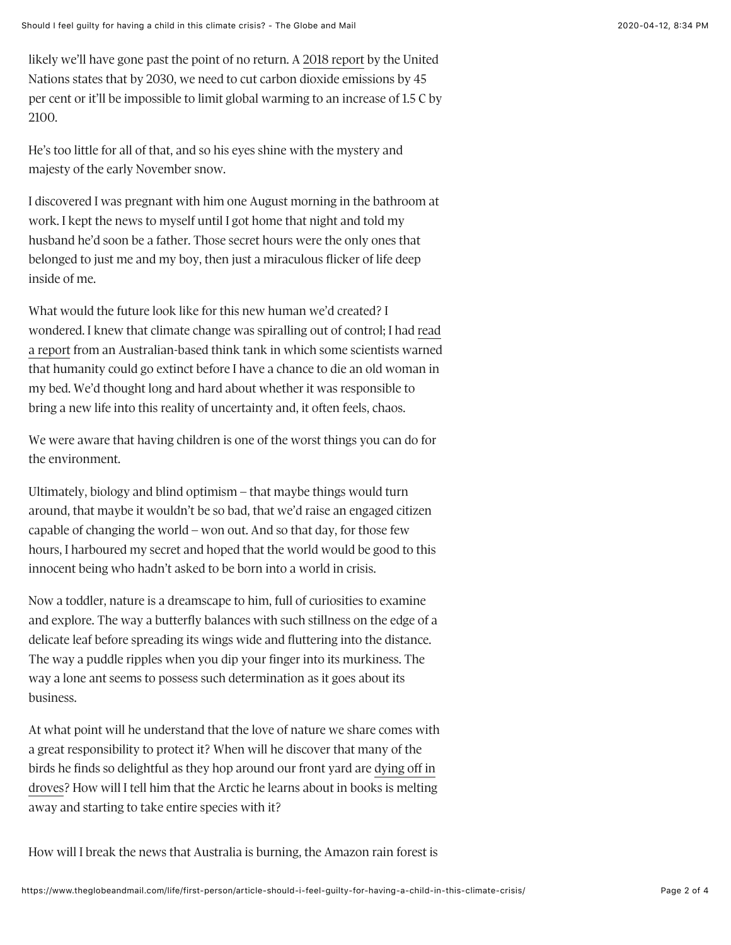likely we'll have gone past the point of no return. A 2018 report by the United Nations states that by 2030, we need to cut carbon dioxide emissions by 45 per cent or it'll be impossible to limit global warming to an increase of 1.5 C by 2100.

He's too little for all of that, and so his eyes shine with the mystery and majesty of the early November snow.

I discovered I was pregnant with him one August morning in the bathroom at work. I kept the news to myself until I got home that night and told my husband he'd soon be a father. Those secret hours were the only ones that belonged to just me and my boy, then just a miraculous flicker of life deep inside of me.

What would the future look like for this new human we'd created? I wondered. I knew that climate change was spiralling out of control; I had read a report from an Australian-based think tank in which some scientists warned that humanity could go extinct before I have a chance to die an old woman in my bed. We'd thought long and hard about whether it was responsible to bring a new life into this reality of uncertainty and, it often feels, chaos.

We were aware that having children is one of the worst things you can do for the environment.

Ultimately, biology and blind optimism – that maybe things would turn around, that maybe it wouldn't be so bad, that we'd raise an engaged citizen capable of changing the world – won out. And so that day, for those few hours, I harboured my secret and hoped that the world would be good to this innocent being who hadn't asked to be born into a world in crisis.

Now a toddler, nature is a dreamscape to him, full of curiosities to examine and explore. The way a butterfly balances with such stillness on the edge of a delicate leaf before spreading its wings wide and fluttering into the distance. The way a puddle ripples when you dip your finger into its murkiness. The way a lone ant seems to possess such determination as it goes about its business.

At what point will he understand that the love of nature we share comes with a great responsibility to protect it? When will he discover that many of the birds he finds so delightful as they hop around our front yard are dying off in droves? How will I tell him that the Arctic he learns about in books is melting away and starting to take entire species with it?

How will I break the news that Australia is burning, the Amazon rain forest is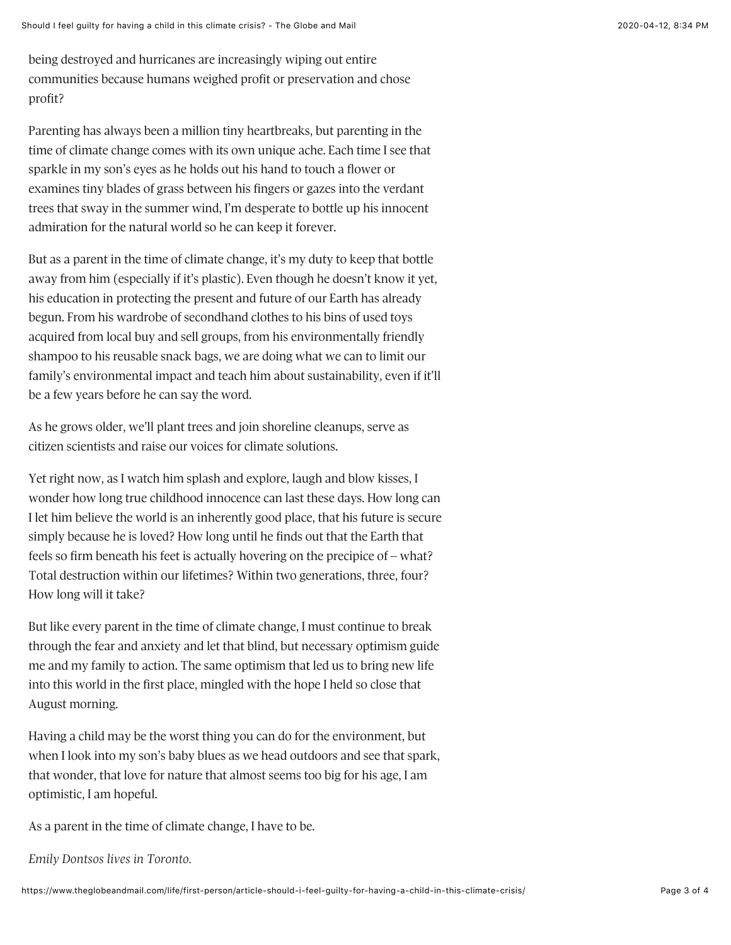being destroyed and hurricanes are increasingly wiping out entire communities because humans weighed profit or preservation and chose profit?

Parenting has always been a million tiny heartbreaks, but parenting in the time of climate change comes with its own unique ache. Each time I see that sparkle in my son's eyes as he holds out his hand to touch a flower or examines tiny blades of grass between his fingers or gazes into the verdant trees that sway in the summer wind, I'm desperate to bottle up his innocent admiration for the natural world so he can keep it forever.

But as a parent in the time of climate change, it's my duty to keep that bottle away from him (especially if it's plastic). Even though he doesn't know it yet, his education in protecting the present and future of our Earth has already begun. From his wardrobe of secondhand clothes to his bins of used toys acquired from local buy and sell groups, from his environmentally friendly shampoo to his reusable snack bags, we are doing what we can to limit our family's environmental impact and teach him about sustainability, even if it'll be a few years before he can say the word.

As he grows older, we'll plant trees and join shoreline cleanups, serve as citizen scientists and raise our voices for climate solutions.

Yet right now, as I watch him splash and explore, laugh and blow kisses, I wonder how long true childhood innocence can last these days. How long can I let him believe the world is an inherently good place, that his future is secure simply because he is loved? How long until he finds out that the Earth that feels so firm beneath his feet is actually hovering on the precipice of  $-$  what? Total destruction within our lifetimes? Within two generations, three, four? How long will it take?

But like every parent in the time of climate change, I must continue to break through the fear and anxiety and let that blind, but necessary optimism guide me and my family to action. The same optimism that led us to bring new life into this world in the first place, mingled with the hope I held so close that August morning.

Having a child may be the worst thing you can do for the environment, but when I look into my son's baby blues as we head outdoors and see that spark, that wonder, that love for nature that almost seems too big for his age, I am optimistic, I am hopeful.

As a parent in the time of climate change, I have to be.

*Emily Dontsos lives in Toronto.*